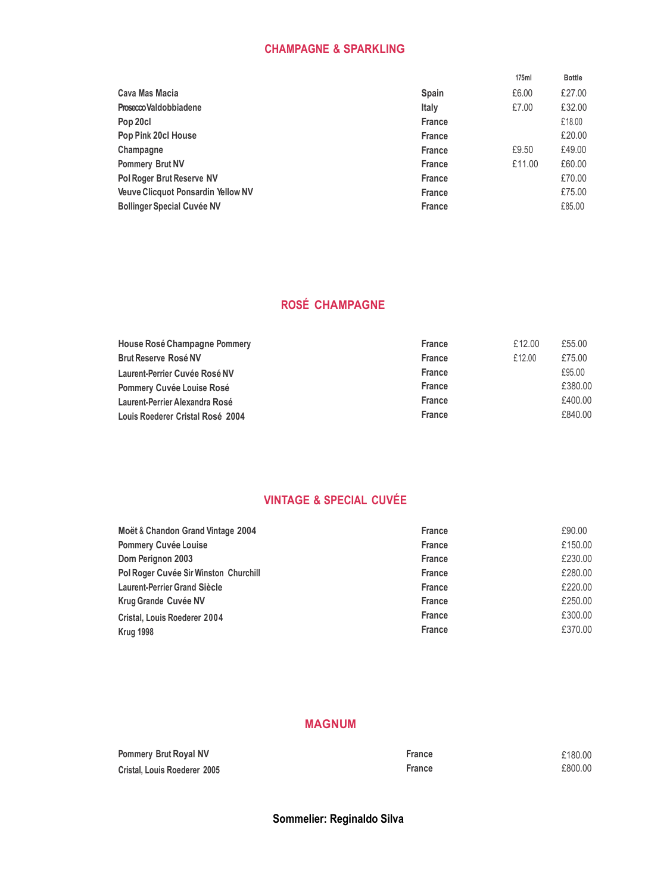# **CHAMPAGNE & SPARKLING**

|               | 175ml  | <b>Bottle</b> |
|---------------|--------|---------------|
| <b>Spain</b>  | £6.00  | £27.00        |
| <b>Italy</b>  | £7.00  | £32.00        |
| <b>France</b> |        | £18.00        |
| <b>France</b> |        | £20.00        |
| <b>France</b> | £9.50  | £49.00        |
| <b>France</b> | £11.00 | £60.00        |
| <b>France</b> |        | £70.00        |
| <b>France</b> |        | £75.00        |
| <b>France</b> |        | £85.00        |
|               |        |               |

# **ROSÉ CHAMPAGNE**

| House Rosé Champagne Pommery     | <b>France</b> | £12.00 | £55.00  |
|----------------------------------|---------------|--------|---------|
| <b>Brut Reserve Rosé NV</b>      | <b>France</b> | £12.00 | £75.00  |
| Laurent-Perrier Cuvée Rosé NV    | <b>France</b> |        | £95.00  |
| Pommery Cuvée Louise Rosé        | <b>France</b> |        | £380.00 |
| Laurent-Perrier Alexandra Rosé   | <b>France</b> |        | £400.00 |
| Louis Roederer Cristal Rosé 2004 | <b>France</b> |        | £840.00 |

# **VINTAGE & SPECIAL CUVÉE**

| Moët & Chandon Grand Vintage 2004     | <b>France</b> | £90.00  |
|---------------------------------------|---------------|---------|
| <b>Pommery Cuvée Louise</b>           | <b>France</b> | £150.00 |
| Dom Perignon 2003                     | <b>France</b> | £230.00 |
| Pol Roger Cuvée Sir Winston Churchill | <b>France</b> | £280.00 |
| <b>Laurent-Perrier Grand Siècle</b>   | <b>France</b> | £220.00 |
| <b>Krug Grande Cuvée NV</b>           | <b>France</b> | £250.00 |
| Cristal, Louis Roederer 2004          | <b>France</b> | £300.00 |
| <b>Krug 1998</b>                      | <b>France</b> | £370.00 |

## **MAGNUM**

| <b>Pommery Brut Royal NV</b> | France | £180.00 |
|------------------------------|--------|---------|
| Cristal, Louis Roederer 2005 | France | £800.00 |

**Sommelier: Reginaldo Silva**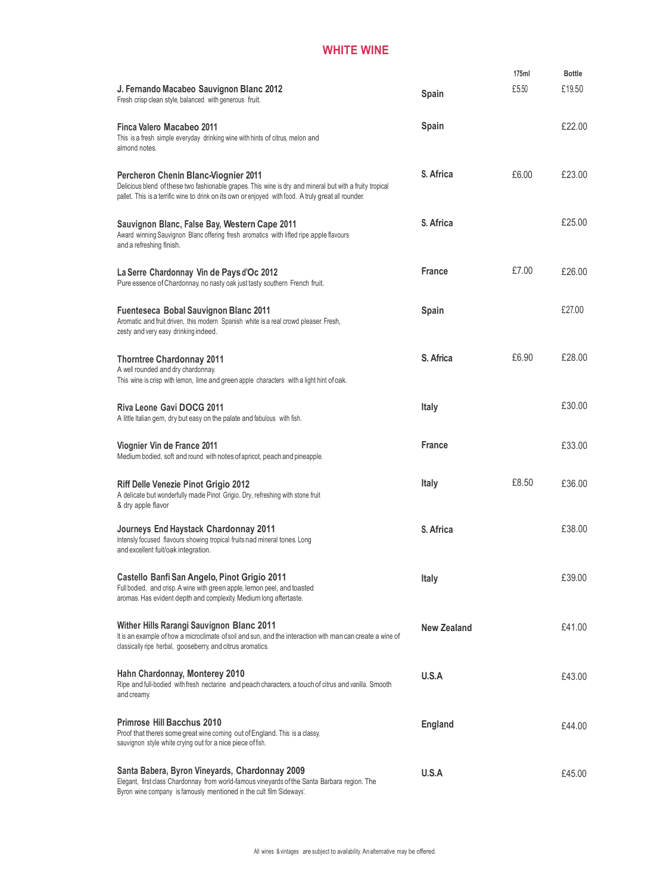# **WHITE WINE**

|                                                                                                                                                                                                                                                                 |                    | 175ml | <b>Bottle</b> |
|-----------------------------------------------------------------------------------------------------------------------------------------------------------------------------------------------------------------------------------------------------------------|--------------------|-------|---------------|
| J. Fernando Macabeo Sauvignon Blanc 2012<br>Fresh crisp clean style, balanced with generous fruit.                                                                                                                                                              | Spain              | £5.50 | £19.50        |
| Finca Valero Macabeo 2011<br>This is a fresh simple everyday drinking wine with hints of citrus, melon and<br>almond notes.                                                                                                                                     | Spain              |       | £22.00        |
| <b>Percheron Chenin Blanc-Viognier 2011</b><br>Delicious blend of these two fashionable grapes. This wine is dry and mineral but with a fruity tropical<br>pallet. This is a terrific wine to drink on its own or enjoyed with food. A truly great all rounder. | S. Africa          | £6.00 | £23.00        |
| Sauvignon Blanc, False Bay, Western Cape 2011<br>Award winning Sauvignon Blanc offering fresh aromatics with lifted ripe apple flavours<br>and a refreshing finish.                                                                                             | S. Africa          |       | £25.00        |
| La Serre Chardonnay Vin de Pays d'Oc 2012<br>Pure essence of Chardonnay, no nasty oak just tasty southern French fruit.                                                                                                                                         | <b>France</b>      | £7.00 | £26.00        |
| Fuenteseca Bobal Sauvignon Blanc 2011<br>Aromatic and fruit driven, this modern Spanish white is a real crowd pleaser. Fresh,<br>zesty and very easy drinking indeed.                                                                                           | Spain              |       | £27.00        |
| <b>Thorntree Chardonnay 2011</b><br>A well rounded and dry chardonnay.<br>This wine is crisp with lemon, lime and green apple characters with a light hint of oak.                                                                                              | S. Africa          | £6.90 | £28.00        |
| Riva Leone Gavi DOCG 2011<br>A little Italian gem, dry but easy on the palate and fabulous with fish.                                                                                                                                                           | <b>Italy</b>       |       | £30.00        |
| Viognier Vin de France 2011<br>Medium bodied, soft and round with notes of apricot, peach and pineapple.                                                                                                                                                        | <b>France</b>      |       | £33.00        |
| <b>Riff Delle Venezie Pinot Grigio 2012</b><br>A delicate but wonderfully made Pinot Grigio. Dry, refreshing with stone fruit<br>& dry apple flavor                                                                                                             | Italy              | £8.50 | £36.00        |
| Journeys End Haystack Chardonnay 2011<br>Intensly focused flavours showing tropical fruits nad mineral tones. Long<br>and excellent fuit/oak integration.                                                                                                       | S. Africa          |       | £38.00        |
| Castello Banfi San Angelo, Pinot Grigio 2011<br>Full bodied, and crisp. A wine with green apple, lemon peel, and toasted<br>aromas. Has evident depth and complexity. Medium long aftertaste.                                                                   | Italy              |       | £39.00        |
| <b>Wither Hills Rarangi Sauvignon Blanc 2011</b><br>It is an example of how a microclimate of soil and sun, and the interaction with man can create a wine of<br>classically ripe herbal, gooseberry, and citrus aromatics.                                     | <b>New Zealand</b> |       | £41.00        |
| Hahn Chardonnay, Monterey 2010<br>Ripe and full-bodied with fresh nectarine and peach characters, a touch of citrus and vanilla. Smooth<br>and creamy.                                                                                                          | U.S.A              |       | £43.00        |
| <b>Primrose Hill Bacchus 2010</b><br>Proof that there's some great wine coming out of England. This is a classy,<br>sauvignon style white crying out for a nice piece of fish.                                                                                  | England            |       | £44.00        |
| Santa Babera, Byron Vineyards, Chardonnay 2009<br>Elegant, first class Chardonnay from world-famous vineyards of the Santa Barbara region. The<br>Byron wine company is famously mentioned in the cult film Sideways'.                                          | U.S.A              |       | £45.00        |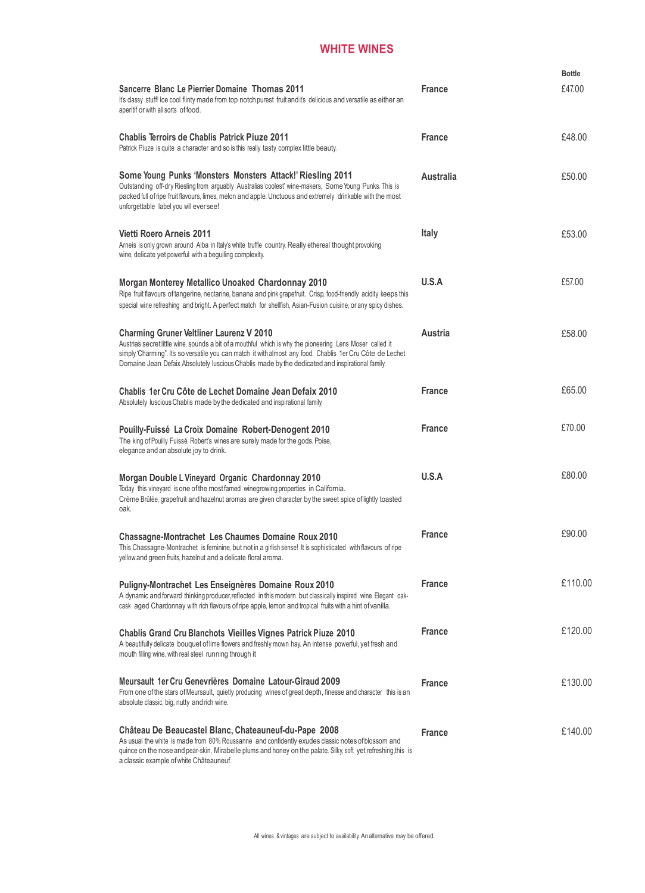# **WHITE WINES**

|                                                                                                                                                                                                                                                                                                                                                                               |                  | <b>Bottle</b> |
|-------------------------------------------------------------------------------------------------------------------------------------------------------------------------------------------------------------------------------------------------------------------------------------------------------------------------------------------------------------------------------|------------------|---------------|
| <b>Sancerre Blanc Le Pierrier Domaine Thomas 2011</b><br>It's classy stuff! Ice cool flinty made from top notch purest fruit and it's delicious and versatile as either an<br>aperitif or with all sorts of food.                                                                                                                                                             | <b>France</b>    | £47.00        |
| <b>Chablis Terroirs de Chablis Patrick Piuze 2011</b><br>Patrick Piuze is quite a character and so is this really tasty, complex little beauty.                                                                                                                                                                                                                               | <b>France</b>    | £48.00        |
| Some Young Punks 'Monsters Monsters Attack!' Riesling 2011<br>Outstanding off-dry Riesling from arguably Australia's 'coolest' wine-makers, Some Young Punks. This is<br>packed full of ripe fruit flavours, limes, melon and apple. Unctuous and extremely drinkable with the most<br>unforgettable label you will ever see!                                                 | <b>Australia</b> | £50.00        |
| Vietti Roero Arneis 2011<br>Arneis is only grown around Alba in Italy's white truffle country. Really ethereal thought provoking<br>wine, delicate yet powerful with a beguiling complexity.                                                                                                                                                                                  | <b>Italy</b>     | £53.00        |
| Morgan Monterey Metallico Unoaked Chardonnay 2010<br>Ripe fruit flavours of tangerine, nectarine, banana and pink grapefruit. Crisp, food-friendly acidity keeps this<br>special wine refreshing and bright. A perfect match for shellfish, Asian-Fusion cuisine, or any spicy dishes.                                                                                        | U.S.A            | £57.00        |
| <b>Charming Gruner Veltliner Laurenz V 2010</b><br>Austria's secret little wine, sounds a bit of a mouthful which is why the pioneering Lens Moser called it<br>simply 'Charming". It's so versatile you can match it with almost any food. Chablis 1er Cru Côte de Lechet<br>Domaine Jean Defaix Absolutely Iuscious Chablis made by the dedicated and inspirational family. | Austria          | £58.00        |
| Chablis 1er Cru Côte de Lechet Domaine Jean Defaix 2010<br>Absolutely luscious Chablis made by the dedicated and inspirational family.                                                                                                                                                                                                                                        | <b>France</b>    | £65.00        |
| Pouilly-Fuissé La Croix Domaine Robert-Denogent 2010<br>The king of Pouilly Fuissé, Robert's wines are surely made for the gods. Poise,<br>elegance and an absolute joy to drink.                                                                                                                                                                                             | <b>France</b>    | £70.00        |
| Morgan Double L Vineyard Organic Chardonnay 2010<br>Today this vineyard is one of the most famed winegrowing properties in California.<br>Crème Brûlée, grapefruit and hazelnut aromas are given character by the sweet spice of lightly toasted<br>oak.                                                                                                                      | U.S.A            | £80.00        |
| <b>Chassagne-Montrachet Les Chaumes Domaine Roux 2010</b><br>This Chassagne-Montrachet is feminine, but not in a girlish sense! It is sophisticated with flavours of ripe<br>yellow and green fruits, hazelnut and a delicate floral aroma.                                                                                                                                   | <b>France</b>    | £90.00        |
| Puligny-Montrachet Les Enseignères Domaine Roux 2010<br>A dynamic and forward thinking producer, reflected in this modern but classically inspired wine Elegant oak-<br>cask aged Chardonnay with rich flavours of ripe apple, lemon and tropical fruits with a hint of vanilla.                                                                                              | <b>France</b>    | £110.00       |
| Chablis Grand Cru Blanchots Vieilles Vignes Patrick Piuze 2010<br>A beautifully delicate bouquet of lime flowers and freshly mown hay. An intense powerful, yet fresh and<br>mouth filling wine, with real steel running through it                                                                                                                                           | <b>France</b>    | £120.00       |
| Meursault 1er Cru Genevrières Domaine Latour-Giraud 2009<br>From one of the stars of Meursault, quietly producing wines of great depth, finesse and character this is an<br>absolute classic, big, nutty and rich wine.                                                                                                                                                       | <b>France</b>    | £130.00       |
| Château De Beaucastel Blanc, Chateauneuf-du-Pape 2008<br>As usual the white is made from 80% Roussanne and confidently exudes classic notes of blossom and<br>quince on the nose and pear-skin, Mirabelle plums and honey on the palate. Silky, soft yet refreshing, this is<br>a classic example of white Châteauneuf.                                                       | <b>France</b>    | £140.00       |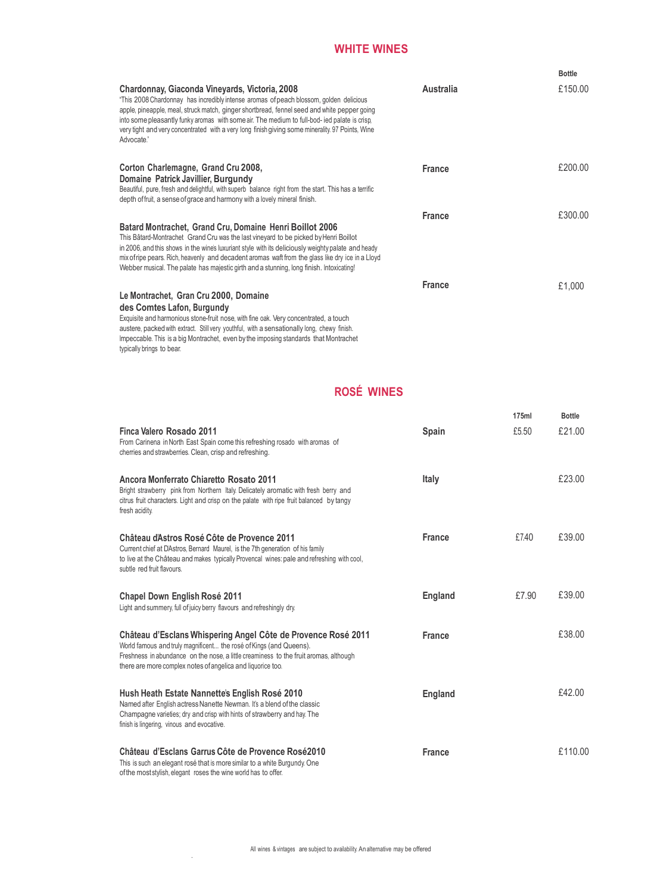### **WHITE WINES**

|                                                                                                                                                                                                                                                                                                                                                                                                                                                            |                  | <b>Bottle</b> |
|------------------------------------------------------------------------------------------------------------------------------------------------------------------------------------------------------------------------------------------------------------------------------------------------------------------------------------------------------------------------------------------------------------------------------------------------------------|------------------|---------------|
| Chardonnay, Giaconda Vineyards, Victoria, 2008<br>"This 2008 Chardonnay has incredibly intense aromas of peach blossom, golden delicious<br>apple, pineapple, meal, struck match, ginger shortbread, fennel seed and white pepper going<br>into some pleasantly funky aromas with some air. The medium to full-bod- ied palate is crisp,<br>very tight and very concentrated with a very long finish giving some minerality. 97 Points, Wine<br>Advocate." | <b>Australia</b> | £150.00       |
| Corton Charlemagne, Grand Cru 2008,<br>Domaine Patrick Javillier, Burgundy<br>Beautiful, pure, fresh and delightful, with superb balance right from the start. This has a terrific<br>depth of fruit, a sense of grace and harmony with a lovely mineral finish.                                                                                                                                                                                           | <b>France</b>    | £200.00       |
| Batard Montrachet, Grand Cru, Domaine Henri Boillot 2006<br>This Bâtard-Montrachet Grand Cru was the last vineyard to be picked by Henri Boillot<br>in 2006, and this shows in the wines luxuriant style with its deliciously weighty palate and heady<br>mix of ripe pears. Rich, heavenly and decadent aromas waft from the glass like dry ice in a Lloyd<br>Webber musical. The palate has majestic girth and a stunning, long finish. Intoxicating!    | <b>France</b>    | £300.00       |
| Le Montrachet, Gran Cru 2000, Domaine<br>des Comtes Lafon, Burgundy<br>Exquisite and harmonious stone-fruit nose, with fine oak. Very concentrated, a touch<br>austere, packed with extract. Still very youthful, with a sensationally long, chewy finish.<br>Impeccable. This is a big Montrachet, even by the imposing standards that Montrachet<br>typically brings to bear.                                                                            | <b>France</b>    | £1,000        |

# **ROSÉ WINES**

| Finca Valero Rosado 2011<br>From Carinena in North East Spain come this refreshing rosado with aromas of<br>cherries and strawberries. Clean, crisp and refreshing.                                                                                                                         | Spain         | 175ml<br>£5.50 | <b>Bottle</b><br>£21.00 |
|---------------------------------------------------------------------------------------------------------------------------------------------------------------------------------------------------------------------------------------------------------------------------------------------|---------------|----------------|-------------------------|
| Ancora Monferrato Chiaretto Rosato 2011<br>Bright strawberry pink from Northern Italy. Delicately aromatic with fresh berry and<br>citrus fruit characters. Light and crisp on the palate with ripe fruit balanced by tangy<br>fresh acidity.                                               | <b>Italy</b>  |                | £23.00                  |
| Château d'Astros Rosé Côte de Provence 2011<br>Current chief at D'Astros, Bernard Maurel, is the 7th generation of his family<br>to live at the Château and makes typically Provencal wines: pale and refreshing with cool,<br>subtle red fruit flavours.                                   | <b>France</b> | £7.40          | £39.00                  |
| <b>Chapel Down English Rosé 2011</b><br>Light and summery, full of juicy berry flavours and refreshingly dry.                                                                                                                                                                               | England       | £7.90          | £39.00                  |
| Château d'Esclans Whispering Angel Côte de Provence Rosé 2011<br>World famous and truly magnificent the rosé of Kings (and Queens).<br>Freshness in abundance on the nose, a little creaminess to the fruit aromas, although<br>there are more complex notes of angelica and liquorice too. | <b>France</b> |                | £38.00                  |
| Hush Heath Estate Nannette's English Rosé 2010<br>Named after English actress Nanette Newman. It's a blend of the classic<br>Champagne varieties; dry and crisp with hints of strawberry and hay. The<br>finish is lingering, vinous and evocative.                                         | England       |                | £42.00                  |
| Château d'Esclans Garrus Côte de Provence Rosé2010<br>This is such an elegant rosé that is more similar to a white Burgundy. One<br>of the most stylish, elegant roses the wine world has to offer.                                                                                         | <b>France</b> |                | £110.00                 |

.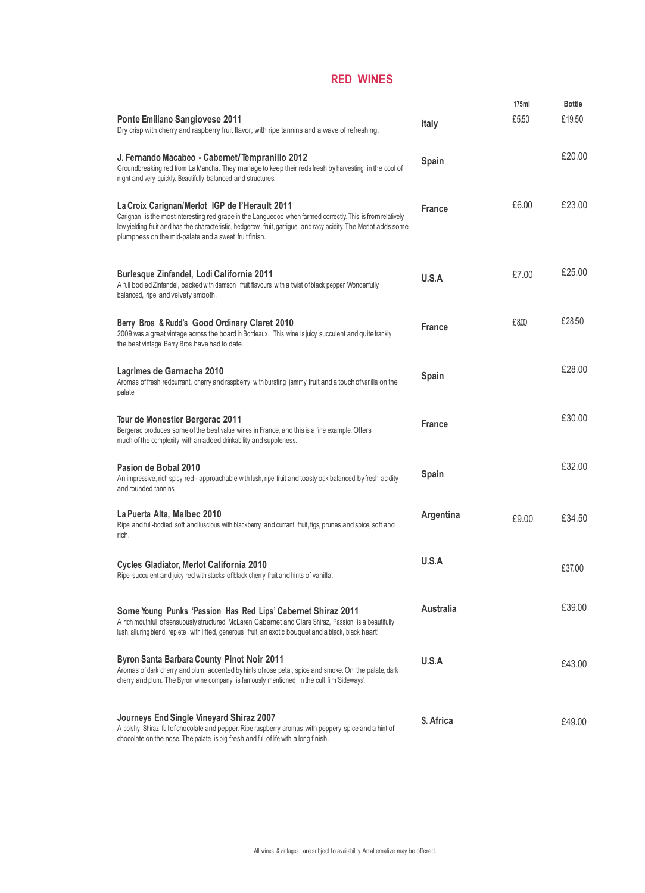#### **RED WINES**

| <b>Ponte Emiliano Sangiovese 2011</b><br>Dry crisp with cherry and raspberry fruit flavor, with ripe tannins and a wave of refreshing.                                                                                                                                                                                                  | Italy            | 175ml<br>£5.50 | Bottle<br>£19.50 |
|-----------------------------------------------------------------------------------------------------------------------------------------------------------------------------------------------------------------------------------------------------------------------------------------------------------------------------------------|------------------|----------------|------------------|
| J. Fernando Macabeo - Cabernet/Tempranillo 2012<br>Groundbreaking red from La Mancha. They manage to keep their reds fresh by harvesting in the cool of<br>night and very quickly. Beautifully balanced and structures.                                                                                                                 | Spain            |                | £20.00           |
| La Croix Carignan/Merlot IGP de l'Herault 2011<br>Carignan is the most interesting red grape in the Languedoc when farmed correctly. This is from relatively<br>low yielding fruit and has the characteristic, hedgerow fruit, garrigue and racy acidity. The Merlot adds some<br>plumpness on the mid-palate and a sweet fruit finish. | <b>France</b>    | £6.00          | £23.00           |
| <b>Burlesque Zinfandel, Lodi California 2011</b><br>A full bodied Zinfandel, packed with damson fruit flavours with a twist of black pepper. Wonderfully<br>balanced, ripe, and velvety smooth.                                                                                                                                         | U.S.A            | £7.00          | £25.00           |
| Berry Bros & Rudd's Good Ordinary Claret 2010<br>2009 was a great vintage across the board in Bordeaux. This wine is juicy, succulent and quite frankly<br>the best vintage Berry Bros have had to date.                                                                                                                                | <b>France</b>    | £800           | £28.50           |
| Lagrimes de Garnacha 2010<br>Aromas of fresh redcurrant, cherry and raspberry with bursting jammy fruit and a touch of vanilla on the<br>palate.                                                                                                                                                                                        | Spain            |                | £28.00           |
| Tour de Monestier Bergerac 2011<br>Bergerac produces some of the best value wines in France, and this is a fine example. Offers<br>much of the complexity with an added drinkability and suppleness.                                                                                                                                    | <b>France</b>    |                | £30.00           |
| Pasion de Bobal 2010<br>An impressive, rich spicy red - approachable with lush, ripe fruit and toasty oak balanced by fresh acidity<br>and rounded tannins.                                                                                                                                                                             | Spain            |                | £32.00           |
| La Puerta Alta, Malbec 2010<br>Ripe and full-bodied, soft and luscious with blackberry and currant fruit, figs, prunes and spice, soft and<br>rich.                                                                                                                                                                                     | Argentina        | £9.00          | £34.50           |
| Cycles Gladiator, Merlot California 2010<br>Ripe, succulent and juicy red with stacks of black cherry fruit and hints of vanilla.                                                                                                                                                                                                       | U.S.A            |                | £37.00           |
| Some Young Punks 'Passion Has Red Lips' Cabernet Shiraz 2011<br>A rich mouthful of sensuously structured McLaren Cabernet and Clare Shiraz, Passion is a beautifully<br>lush, alluring blend replete with lifted, generous fruit, an exotic bouquet and a black, black heart!                                                           | <b>Australia</b> |                | £39.00           |
| <b>Byron Santa Barbara County Pinot Noir 2011</b><br>Aromas of dark cherry and plum, accented by hints of rose petal, spice and smoke. On the palate, dark<br>cherry and plum. The Byron wine company is famously mentioned in the cult film Sideways'.                                                                                 | U.S.A            |                | £43.00           |
| Journeys End Single Vineyard Shiraz 2007<br>A bolshy Shiraz full of chocolate and pepper. Ripe raspberry aromas with peppery spice and a hint of<br>chocolate on the nose. The palate is big fresh and full of life with a long finish.                                                                                                 | S. Africa        |                | £49.00           |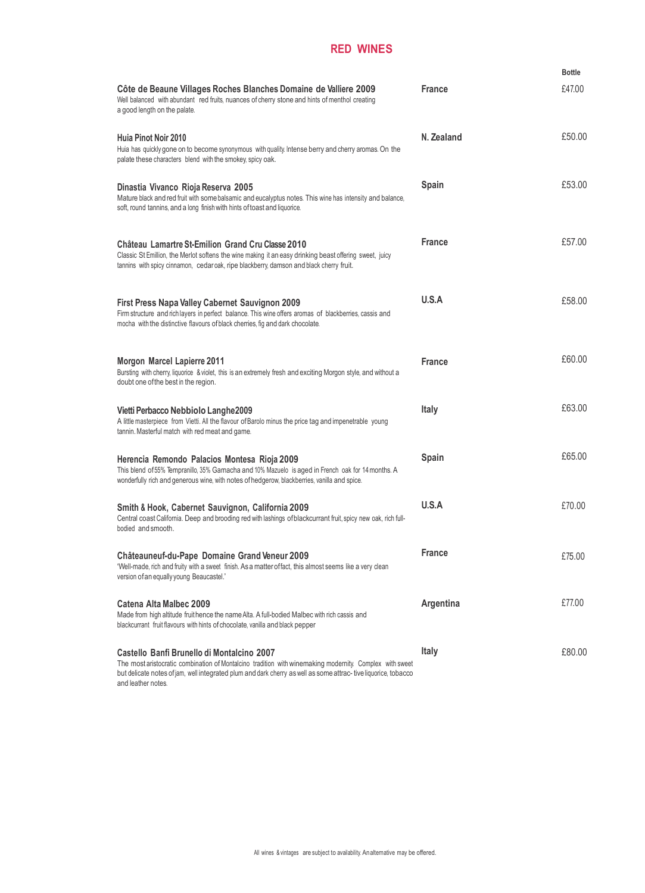### **RED WINES**

| Côte de Beaune Villages Roches Blanches Domaine de Valliere 2009<br>Well balanced with abundant red fruits, nuances of cherry stone and hints of menthol creating                                                                                                                             | <b>France</b> | <b>Bottle</b><br>£47.00 |
|-----------------------------------------------------------------------------------------------------------------------------------------------------------------------------------------------------------------------------------------------------------------------------------------------|---------------|-------------------------|
| a good length on the palate.<br>Huia Pinot Noir 2010<br>Huia has quickly gone on to become synonymous with quality. Intense berry and cherry aromas. On the<br>palate these characters blend with the smokey, spicy oak.                                                                      | N. Zealand    | £50.00                  |
| Dinastia Vivanco Rioja Reserva 2005<br>Mature black and red fruit with some balsamic and eucalyptus notes. This wine has intensity and balance,<br>soft, round tannins, and a long finish with hints of toast and liquorice.                                                                  | <b>Spain</b>  | £53.00                  |
| Château Lamartre St-Emilion Grand Cru Classe 2010<br>Classic St Emillion, the Merlot softens the wine making it an easy drinking beast offering sweet, juicy<br>tannins with spicy cinnamon, cedar oak, ripe blackberry, damson and black cherry fruit.                                       | <b>France</b> | £57.00                  |
| First Press Napa Valley Cabernet Sauvignon 2009<br>Firm structure and rich layers in perfect balance. This wine offers aromas of blackberries, cassis and<br>mocha with the distinctive flavours of black cherries, fig and dark chocolate.                                                   | U.S.A         | £58.00                  |
| <b>Morgon Marcel Lapierre 2011</b><br>Bursting with cherry, liquorice & violet, this is an extremely fresh and exciting Morgon style, and without a<br>doubt one of the best in the region.                                                                                                   | <b>France</b> | £60.00                  |
| Vietti Perbacco Nebbiolo Langhe2009<br>A little masterpiece from Vietti. All the flavour of Barolo minus the price tag and impenetrable young<br>tannin. Masterful match with red meat and game.                                                                                              | Italy         | £63.00                  |
| Herencia Remondo Palacios Montesa Rioja 2009<br>This blend of 55% Tempranillo, 35% Garnacha and 10% Mazuelo is aged in French oak for 14 months. A<br>wonderfully rich and generous wine, with notes of hedgerow, blackberries, vanilla and spice.                                            | Spain         | £65.00                  |
| Smith & Hook, Cabernet Sauvignon, California 2009<br>Central coast California. Deep and brooding red with lashings of blackcurrant fruit, spicy new oak, rich full-<br>bodied and smooth.                                                                                                     | U.S.A         | £70.00                  |
| Châteauneuf-du-Pape Domaine Grand Veneur 2009<br>"Well-made, rich and fruity with a sweet finish. As a matter of fact, this almost seems like a very clean<br>version of an equally young Beaucastel."                                                                                        | <b>France</b> | £75.00                  |
| Catena Alta Malbec 2009<br>Made from high altitude fruit hence the name Alta. A full-bodied Malbec with rich cassis and<br>blackcurrant fruit flavours with hints of chocolate, vanilla and black pepper                                                                                      | Argentina     | £77.00                  |
| Castello Banfi Brunello di Montalcino 2007<br>The most aristocratic combination of Montalcino tradition with winemaking modernity. Complex with sweet<br>but delicate notes of jam, well integrated plum and dark cherry as well as some attrac-tive liquorice, tobacco<br>and leather notes. | Italy         | £80.00                  |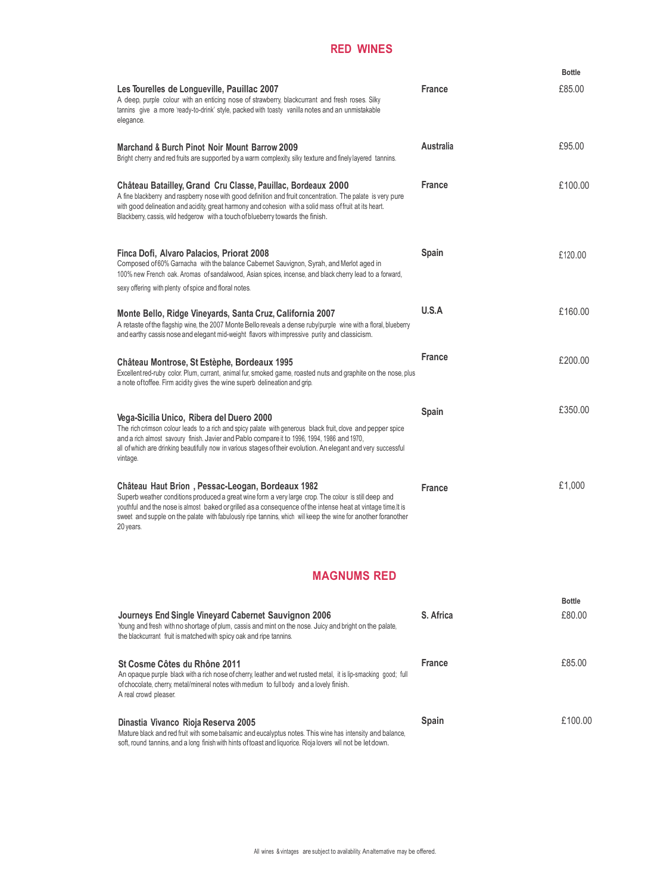### **RED WINES**

|                                                                                                                                                                                                                                                                                                                                                                                                       |                  | <b>Bottle</b> |
|-------------------------------------------------------------------------------------------------------------------------------------------------------------------------------------------------------------------------------------------------------------------------------------------------------------------------------------------------------------------------------------------------------|------------------|---------------|
| Les Tourelles de Longueville, Pauillac 2007<br>A deep, purple colour with an enticing nose of strawberry, blackcurrant and fresh roses. Silky<br>tannins give a more 'ready-to-drink' style, packed with toasty vanilla notes and an unmistakable<br>elegance.                                                                                                                                        | <b>France</b>    | £85.00        |
| Marchand & Burch Pinot Noir Mount Barrow 2009<br>Bright cherry and red fruits are supported by a warm complexity, silky texture and finely layered tannins.                                                                                                                                                                                                                                           | <b>Australia</b> | £95.00        |
| Château Batailley, Grand Cru Classe, Pauillac, Bordeaux 2000<br>A fine blackberry and raspberry nose with good definition and fruit concentration. The palate is very pure<br>with good delineation and acidity, great harmony and cohesion with a solid mass of fruit at its heart.<br>Blackberry, cassis, wild hedgerow with a touch of blueberry towards the finish.                               | <b>France</b>    | £100.00       |
| Finca Dofi, Alvaro Palacios, Priorat 2008<br>Composed of 60% Garnacha with the balance Cabernet Sauvignon, Syrah, and Merlot aged in<br>100% new French oak. Aromas of sandalwood, Asian spices, incense, and black cherry lead to a forward,<br>sexy offering with plenty of spice and floral notes.                                                                                                 | Spain            | £120.00       |
| Monte Bello, Ridge Vineyards, Santa Cruz, California 2007<br>A retaste of the flagship wine, the 2007 Monte Bello reveals a dense ruby/purple wine with a floral, blueberry<br>and earthy cassis nose and elegant mid-weight flavors with impressive purity and classicism.                                                                                                                           | U.S.A            | £160.00       |
| Château Montrose, St Estèphe, Bordeaux 1995<br>Excellent red-ruby color. Plum, currant, animal fur, smoked game, roasted nuts and graphite on the nose, plus<br>a note of toffee. Firm acidity gives the wine superb delineation and grip.                                                                                                                                                            | <b>France</b>    | £200.00       |
| Vega-Sicilia Unico, Ribera del Duero 2000<br>The rich crimson colour leads to a rich and spicy palate with generous black fruit, clove and pepper spice<br>and a rich almost savoury finish. Javier and Pablo compare it to 1996, 1994, 1986 and 1970,<br>all of which are drinking beautifully now in various stages of their evolution. An elegant and very successful<br>vintage.                  | Spain            | £350.00       |
| Château Haut Brion, Pessac-Leogan, Bordeaux 1982<br>Superb weather conditions produced a great wine form a very large crop. The colour is still deep and<br>youthful and the nose is almost baked or grilled as a consequence of the intense heat at vintage time. It is<br>sweet and supple on the palate with fabulously ripe tannins, which will keep the wine for another foranother<br>20 years. | <b>France</b>    | £1,000        |

# **MAGNUMS RED**

| Journeys End Single Vineyard Cabernet Sauvignon 2006<br>Young and fresh with no shortage of plum, cassis and mint on the nose. Juicy and bright on the palate,<br>the blackcurrant fruit is matched with spicy oak and ripe tannins.                               | S. Africa     | <b>Bottle</b><br>£80.00 |
|--------------------------------------------------------------------------------------------------------------------------------------------------------------------------------------------------------------------------------------------------------------------|---------------|-------------------------|
| St Cosme Côtes du Rhône 2011<br>An opaque purple black with a rich nose of cherry, leather and wet rusted metal, it is lip-smacking good; full<br>of chocolate, cherry, metal/mineral notes with medium to full body and a lovely finish.<br>A real crowd pleaser. | <b>France</b> | £85.00                  |
| Dinastia Vivanco Rioja Reserva 2005<br>Mature black and red fruit with some balsamic and eucalyptus notes. This wine has intensity and balance,                                                                                                                    | <b>Spain</b>  | £100.00                 |